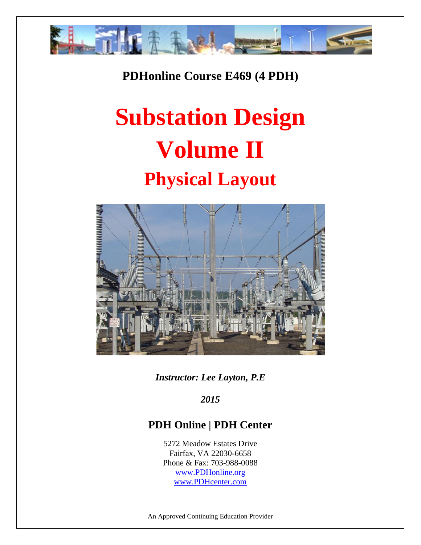

## **PDHonline Course E469 (4 PDH)**

# **Substation Design Volume II Physical Layout**



*Instructor: Lee Layton, P.E*

*2015*

## **PDH Online | PDH Center**

5272 Meadow Estates Drive Fairfax, VA 22030-6658 Phone & Fax: 703-988-0088 [www.PDHonline.org](http://www.pdhonline.org/) [www.PDHcenter.com](http://www.pdhcenter.com/)

An Approved Continuing Education Provider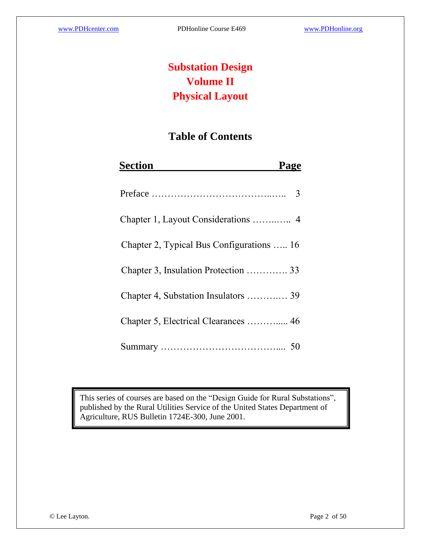## **Substation Design Volume II Physical Layout**

## **Table of Contents**

| <b>Section</b><br>Page                    |  |
|-------------------------------------------|--|
|                                           |  |
| 3                                         |  |
|                                           |  |
| Chapter 2, Typical Bus Configurations  16 |  |
| Chapter 3, Insulation Protection  33      |  |
| Chapter 4, Substation Insulators  39      |  |
| Chapter 5, Electrical Clearances  46      |  |
|                                           |  |

This series of courses are based on the "Design Guide for Rural Substations", published by the Rural Utilities Service of the United States Department of Agriculture, RUS Bulletin 1724E-300, June 2001.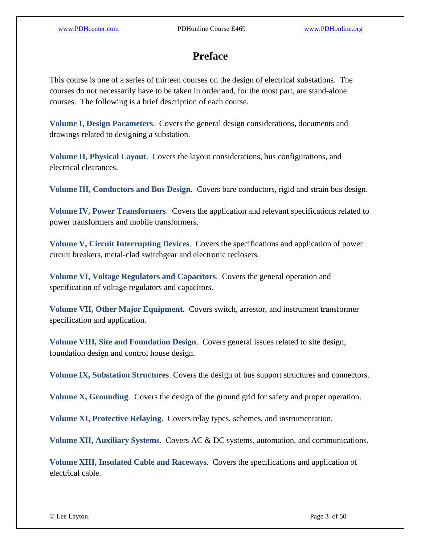## **Preface**

This course is one of a series of thirteen courses on the design of electrical substations. The courses do not necessarily have to be taken in order and, for the most part, are stand-alone courses. The following is a brief description of each course.

**Volume I, Design Parameters**. Covers the general design considerations, documents and drawings related to designing a substation.

**Volume II, Physical Layout**. Covers the layout considerations, bus configurations, and electrical clearances.

**Volume III, Conductors and Bus Design**. Covers bare conductors, rigid and strain bus design.

**Volume IV, Power Transformers**. Covers the application and relevant specifications related to power transformers and mobile transformers.

**Volume V, Circuit Interrupting Devices**. Covers the specifications and application of power circuit breakers, metal-clad switchgear and electronic reclosers.

**Volume VI, Voltage Regulators and Capacitors**. Covers the general operation and specification of voltage regulators and capacitors.

**Volume VII, Other Major Equipment**. Covers switch, arrestor, and instrument transformer specification and application.

**Volume VIII, Site and Foundation Design**. Covers general issues related to site design, foundation design and control house design.

**Volume IX, Substation Structures**. Covers the design of bus support structures and connectors.

**Volume X, Grounding**. Covers the design of the ground grid for safety and proper operation.

**Volume XI, Protective Relaying**. Covers relay types, schemes, and instrumentation.

**Volume XII, Auxiliary Systems**. Covers AC & DC systems, automation, and communications.

**Volume XIII, Insulated Cable and Raceways**. Covers the specifications and application of electrical cable.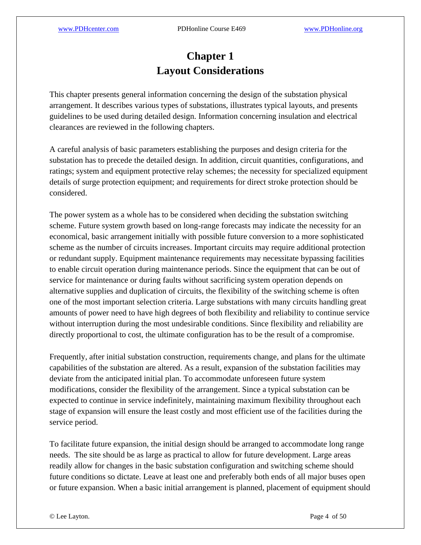## **Chapter 1 Layout Considerations**

This chapter presents general information concerning the design of the substation physical arrangement. It describes various types of substations, illustrates typical layouts, and presents guidelines to be used during detailed design. Information concerning insulation and electrical clearances are reviewed in the following chapters.

A careful analysis of basic parameters establishing the purposes and design criteria for the substation has to precede the detailed design. In addition, circuit quantities, configurations, and ratings; system and equipment protective relay schemes; the necessity for specialized equipment details of surge protection equipment; and requirements for direct stroke protection should be considered.

The power system as a whole has to be considered when deciding the substation switching scheme. Future system growth based on long-range forecasts may indicate the necessity for an economical, basic arrangement initially with possible future conversion to a more sophisticated scheme as the number of circuits increases. Important circuits may require additional protection or redundant supply. Equipment maintenance requirements may necessitate bypassing facilities to enable circuit operation during maintenance periods. Since the equipment that can be out of service for maintenance or during faults without sacrificing system operation depends on alternative supplies and duplication of circuits, the flexibility of the switching scheme is often one of the most important selection criteria. Large substations with many circuits handling great amounts of power need to have high degrees of both flexibility and reliability to continue service without interruption during the most undesirable conditions. Since flexibility and reliability are directly proportional to cost, the ultimate configuration has to be the result of a compromise.

Frequently, after initial substation construction, requirements change, and plans for the ultimate capabilities of the substation are altered. As a result, expansion of the substation facilities may deviate from the anticipated initial plan. To accommodate unforeseen future system modifications, consider the flexibility of the arrangement. Since a typical substation can be expected to continue in service indefinitely, maintaining maximum flexibility throughout each stage of expansion will ensure the least costly and most efficient use of the facilities during the service period.

To facilitate future expansion, the initial design should be arranged to accommodate long range needs. The site should be as large as practical to allow for future development. Large areas readily allow for changes in the basic substation configuration and switching scheme should future conditions so dictate. Leave at least one and preferably both ends of all major buses open or future expansion. When a basic initial arrangement is planned, placement of equipment should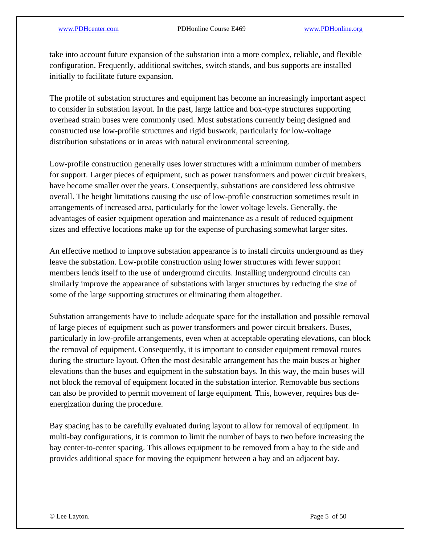take into account future expansion of the substation into a more complex, reliable, and flexible configuration. Frequently, additional switches, switch stands, and bus supports are installed initially to facilitate future expansion.

The profile of substation structures and equipment has become an increasingly important aspect to consider in substation layout. In the past, large lattice and box-type structures supporting overhead strain buses were commonly used. Most substations currently being designed and constructed use low-profile structures and rigid buswork, particularly for low-voltage distribution substations or in areas with natural environmental screening.

Low-profile construction generally uses lower structures with a minimum number of members for support. Larger pieces of equipment, such as power transformers and power circuit breakers, have become smaller over the years. Consequently, substations are considered less obtrusive overall. The height limitations causing the use of low-profile construction sometimes result in arrangements of increased area, particularly for the lower voltage levels. Generally, the advantages of easier equipment operation and maintenance as a result of reduced equipment sizes and effective locations make up for the expense of purchasing somewhat larger sites.

An effective method to improve substation appearance is to install circuits underground as they leave the substation. Low-profile construction using lower structures with fewer support members lends itself to the use of underground circuits. Installing underground circuits can similarly improve the appearance of substations with larger structures by reducing the size of some of the large supporting structures or eliminating them altogether.

Substation arrangements have to include adequate space for the installation and possible removal of large pieces of equipment such as power transformers and power circuit breakers. Buses, particularly in low-profile arrangements, even when at acceptable operating elevations, can block the removal of equipment. Consequently, it is important to consider equipment removal routes during the structure layout. Often the most desirable arrangement has the main buses at higher elevations than the buses and equipment in the substation bays. In this way, the main buses will not block the removal of equipment located in the substation interior. Removable bus sections can also be provided to permit movement of large equipment. This, however, requires bus deenergization during the procedure.

Bay spacing has to be carefully evaluated during layout to allow for removal of equipment. In multi-bay configurations, it is common to limit the number of bays to two before increasing the bay center-to-center spacing. This allows equipment to be removed from a bay to the side and provides additional space for moving the equipment between a bay and an adjacent bay.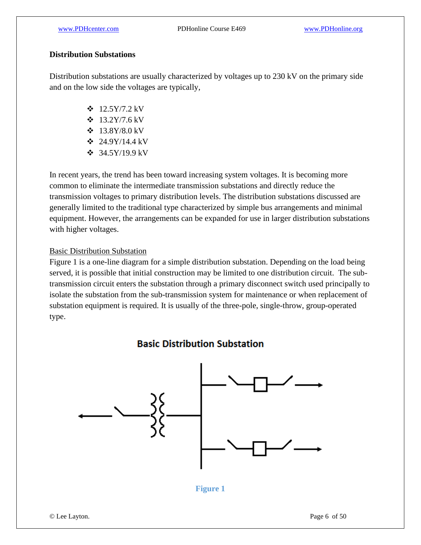#### **Distribution Substations**

Distribution substations are usually characterized by voltages up to 230 kV on the primary side and on the low side the voltages are typically,

- ❖ 12.5Y/7.2 kV
- ❖ 13.2Y/7.6 kV
- ❖ 13.8Y/8.0 kV
- ❖ 24.9Y/14.4 kV
- ❖ 34.5Y/19.9 kV

In recent years, the trend has been toward increasing system voltages. It is becoming more common to eliminate the intermediate transmission substations and directly reduce the transmission voltages to primary distribution levels. The distribution substations discussed are generally limited to the traditional type characterized by simple bus arrangements and minimal equipment. However, the arrangements can be expanded for use in larger distribution substations with higher voltages.

#### Basic Distribution Substation

Figure 1 is a one-line diagram for a simple distribution substation. Depending on the load being served, it is possible that initial construction may be limited to one distribution circuit. The subtransmission circuit enters the substation through a primary disconnect switch used principally to isolate the substation from the sub-transmission system for maintenance or when replacement of substation equipment is required. It is usually of the three-pole, single-throw, group-operated type.

## **Basic Distribution Substation**



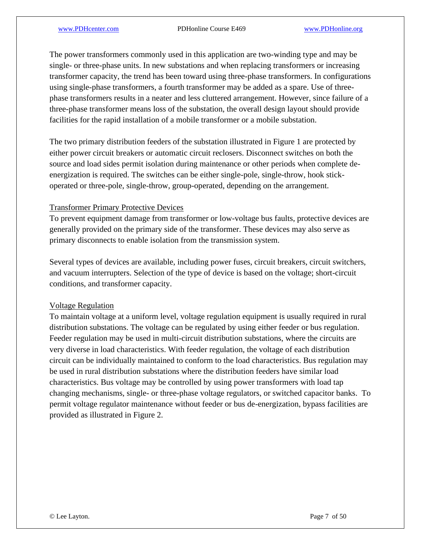The power transformers commonly used in this application are two-winding type and may be single- or three-phase units. In new substations and when replacing transformers or increasing transformer capacity, the trend has been toward using three-phase transformers. In configurations using single-phase transformers, a fourth transformer may be added as a spare. Use of threephase transformers results in a neater and less cluttered arrangement. However, since failure of a three-phase transformer means loss of the substation, the overall design layout should provide facilities for the rapid installation of a mobile transformer or a mobile substation.

The two primary distribution feeders of the substation illustrated in Figure 1 are protected by either power circuit breakers or automatic circuit reclosers. Disconnect switches on both the source and load sides permit isolation during maintenance or other periods when complete deenergization is required. The switches can be either single-pole, single-throw, hook stickoperated or three-pole, single-throw, group-operated, depending on the arrangement.

#### Transformer Primary Protective Devices

To prevent equipment damage from transformer or low-voltage bus faults, protective devices are generally provided on the primary side of the transformer. These devices may also serve as primary disconnects to enable isolation from the transmission system.

Several types of devices are available, including power fuses, circuit breakers, circuit switchers, and vacuum interrupters. Selection of the type of device is based on the voltage; short-circuit conditions, and transformer capacity.

#### Voltage Regulation

To maintain voltage at a uniform level, voltage regulation equipment is usually required in rural distribution substations. The voltage can be regulated by using either feeder or bus regulation. Feeder regulation may be used in multi-circuit distribution substations, where the circuits are very diverse in load characteristics. With feeder regulation, the voltage of each distribution circuit can be individually maintained to conform to the load characteristics. Bus regulation may be used in rural distribution substations where the distribution feeders have similar load characteristics. Bus voltage may be controlled by using power transformers with load tap changing mechanisms, single- or three-phase voltage regulators, or switched capacitor banks. To permit voltage regulator maintenance without feeder or bus de-energization, bypass facilities are provided as illustrated in Figure 2.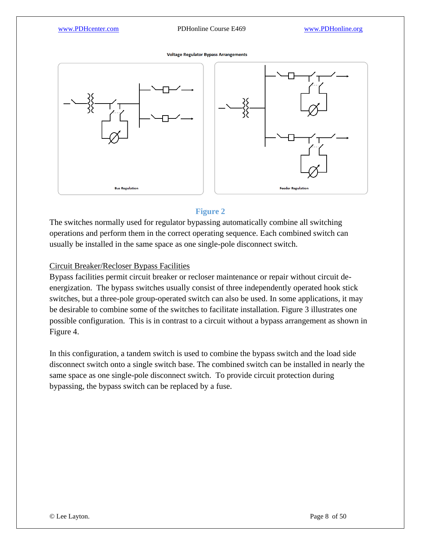#### **Voltage Regulator Bypass Arrangements**



#### **Figure 2**

The switches normally used for regulator bypassing automatically combine all switching operations and perform them in the correct operating sequence. Each combined switch can usually be installed in the same space as one single-pole disconnect switch.

#### Circuit Breaker/Recloser Bypass Facilities

Bypass facilities permit circuit breaker or recloser maintenance or repair without circuit deenergization. The bypass switches usually consist of three independently operated hook stick switches, but a three-pole group-operated switch can also be used. In some applications, it may be desirable to combine some of the switches to facilitate installation. Figure 3 illustrates one possible configuration. This is in contrast to a circuit without a bypass arrangement as shown in Figure 4.

In this configuration, a tandem switch is used to combine the bypass switch and the load side disconnect switch onto a single switch base. The combined switch can be installed in nearly the same space as one single-pole disconnect switch. To provide circuit protection during bypassing, the bypass switch can be replaced by a fuse.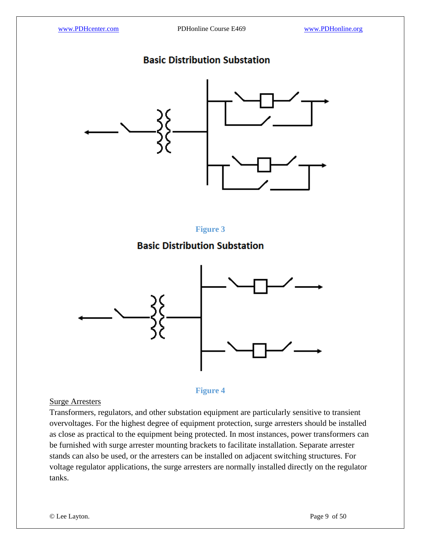## **Basic Distribution Substation**



**Figure 3**

## **Basic Distribution Substation**





#### Surge Arresters

Transformers, regulators, and other substation equipment are particularly sensitive to transient overvoltages. For the highest degree of equipment protection, surge arresters should be installed as close as practical to the equipment being protected. In most instances, power transformers can be furnished with surge arrester mounting brackets to facilitate installation. Separate arrester stands can also be used, or the arresters can be installed on adjacent switching structures. For voltage regulator applications, the surge arresters are normally installed directly on the regulator tanks.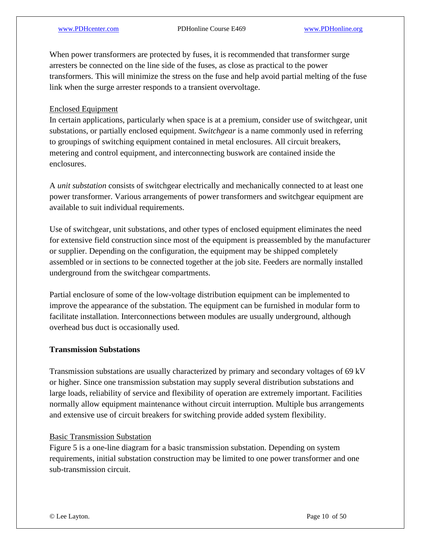When power transformers are protected by fuses, it is recommended that transformer surge arresters be connected on the line side of the fuses, as close as practical to the power transformers. This will minimize the stress on the fuse and help avoid partial melting of the fuse link when the surge arrester responds to a transient overvoltage.

#### Enclosed Equipment

In certain applications, particularly when space is at a premium, consider use of switchgear, unit substations, or partially enclosed equipment. *Switchgear* is a name commonly used in referring to groupings of switching equipment contained in metal enclosures. All circuit breakers, metering and control equipment, and interconnecting buswork are contained inside the enclosures.

A *unit substation* consists of switchgear electrically and mechanically connected to at least one power transformer. Various arrangements of power transformers and switchgear equipment are available to suit individual requirements.

Use of switchgear, unit substations, and other types of enclosed equipment eliminates the need for extensive field construction since most of the equipment is preassembled by the manufacturer or supplier. Depending on the configuration, the equipment may be shipped completely assembled or in sections to be connected together at the job site. Feeders are normally installed underground from the switchgear compartments.

Partial enclosure of some of the low-voltage distribution equipment can be implemented to improve the appearance of the substation. The equipment can be furnished in modular form to facilitate installation. Interconnections between modules are usually underground, although overhead bus duct is occasionally used.

#### **Transmission Substations**

Transmission substations are usually characterized by primary and secondary voltages of 69 kV or higher. Since one transmission substation may supply several distribution substations and large loads, reliability of service and flexibility of operation are extremely important. Facilities normally allow equipment maintenance without circuit interruption. Multiple bus arrangements and extensive use of circuit breakers for switching provide added system flexibility.

#### Basic Transmission Substation

Figure 5 is a one-line diagram for a basic transmission substation. Depending on system requirements, initial substation construction may be limited to one power transformer and one sub-transmission circuit.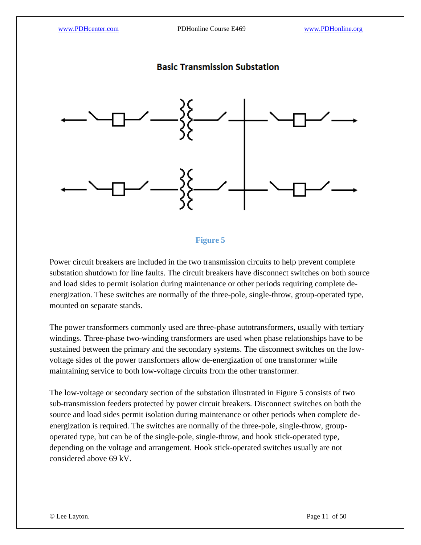

#### **Figure 5**

Power circuit breakers are included in the two transmission circuits to help prevent complete substation shutdown for line faults. The circuit breakers have disconnect switches on both source and load sides to permit isolation during maintenance or other periods requiring complete deenergization. These switches are normally of the three-pole, single-throw, group-operated type, mounted on separate stands.

The power transformers commonly used are three-phase autotransformers, usually with tertiary windings. Three-phase two-winding transformers are used when phase relationships have to be sustained between the primary and the secondary systems. The disconnect switches on the lowvoltage sides of the power transformers allow de-energization of one transformer while maintaining service to both low-voltage circuits from the other transformer.

The low-voltage or secondary section of the substation illustrated in Figure 5 consists of two sub-transmission feeders protected by power circuit breakers. Disconnect switches on both the source and load sides permit isolation during maintenance or other periods when complete deenergization is required. The switches are normally of the three-pole, single-throw, groupoperated type, but can be of the single-pole, single-throw, and hook stick-operated type, depending on the voltage and arrangement. Hook stick-operated switches usually are not considered above 69 kV.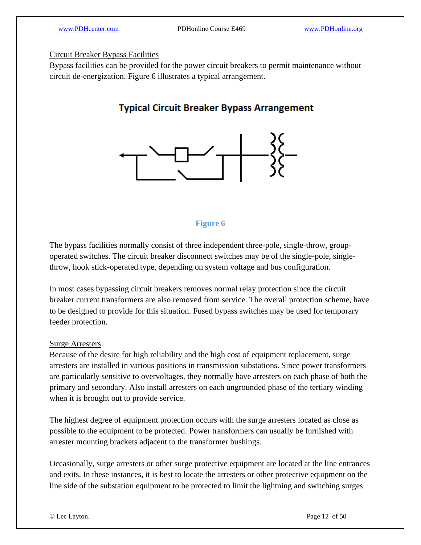#### Circuit Breaker Bypass Facilities

Bypass facilities can be provided for the power circuit breakers to permit maintenance without circuit de-energization. Figure 6 illustrates a typical arrangement.

## **Typical Circuit Breaker Bypass Arrangement**



#### **Figure 6**

The bypass facilities normally consist of three independent three-pole, single-throw, groupoperated switches. The circuit breaker disconnect switches may be of the single-pole, singlethrow, hook stick-operated type, depending on system voltage and bus configuration.

In most cases bypassing circuit breakers removes normal relay protection since the circuit breaker current transformers are also removed from service. The overall protection scheme, have to be designed to provide for this situation. Fused bypass switches may be used for temporary feeder protection.

#### Surge Arresters

Because of the desire for high reliability and the high cost of equipment replacement, surge arresters are installed in various positions in transmission substations. Since power transformers are particularly sensitive to overvoltages, they normally have arresters on each phase of both the primary and secondary. Also install arresters on each ungrounded phase of the tertiary winding when it is brought out to provide service.

The highest degree of equipment protection occurs with the surge arresters located as close as possible to the equipment to be protected. Power transformers can usually be furnished with arrester mounting brackets adjacent to the transformer bushings.

Occasionally, surge arresters or other surge protective equipment are located at the line entrances and exits. In these instances, it is best to locate the arresters or other protective equipment on the line side of the substation equipment to be protected to limit the lightning and switching surges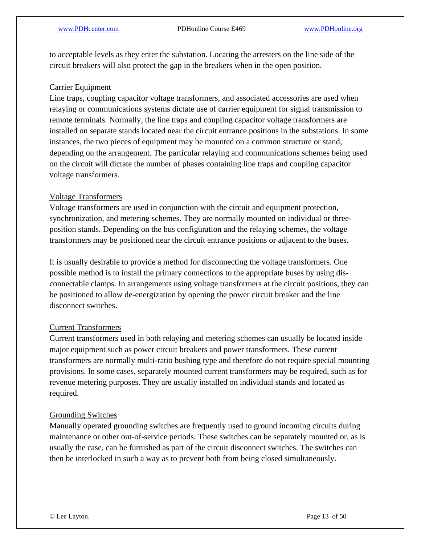to acceptable levels as they enter the substation. Locating the arresters on the line side of the circuit breakers will also protect the gap in the breakers when in the open position.

#### Carrier Equipment

Line traps, coupling capacitor voltage transformers, and associated accessories are used when relaying or communications systems dictate use of carrier equipment for signal transmission to remote terminals. Normally, the line traps and coupling capacitor voltage transformers are installed on separate stands located near the circuit entrance positions in the substations. In some instances, the two pieces of equipment may be mounted on a common structure or stand, depending on the arrangement. The particular relaying and communications schemes being used on the circuit will dictate the number of phases containing line traps and coupling capacitor voltage transformers.

#### Voltage Transformers

Voltage transformers are used in conjunction with the circuit and equipment protection, synchronization, and metering schemes. They are normally mounted on individual or threeposition stands. Depending on the bus configuration and the relaying schemes, the voltage transformers may be positioned near the circuit entrance positions or adjacent to the buses.

It is usually desirable to provide a method for disconnecting the voltage transformers. One possible method is to install the primary connections to the appropriate buses by using disconnectable clamps. In arrangements using voltage transformers at the circuit positions, they can be positioned to allow de-energization by opening the power circuit breaker and the line disconnect switches.

#### Current Transformers

Current transformers used in both relaying and metering schemes can usually be located inside major equipment such as power circuit breakers and power transformers. These current transformers are normally multi-ratio bushing type and therefore do not require special mounting provisions. In some cases, separately mounted current transformers may be required, such as for revenue metering purposes. They are usually installed on individual stands and located as required.

#### Grounding Switches

Manually operated grounding switches are frequently used to ground incoming circuits during maintenance or other out-of-service periods. These switches can be separately mounted or, as is usually the case, can be furnished as part of the circuit disconnect switches. The switches can then be interlocked in such a way as to prevent both from being closed simultaneously.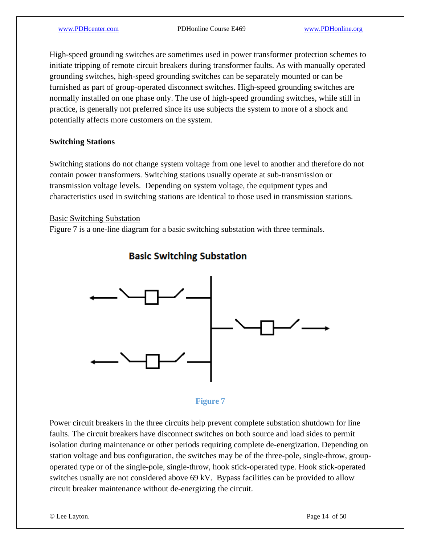High-speed grounding switches are sometimes used in power transformer protection schemes to initiate tripping of remote circuit breakers during transformer faults. As with manually operated grounding switches, high-speed grounding switches can be separately mounted or can be furnished as part of group-operated disconnect switches. High-speed grounding switches are normally installed on one phase only. The use of high-speed grounding switches, while still in practice, is generally not preferred since its use subjects the system to more of a shock and potentially affects more customers on the system.

#### **Switching Stations**

Switching stations do not change system voltage from one level to another and therefore do not contain power transformers. Switching stations usually operate at sub-transmission or transmission voltage levels. Depending on system voltage, the equipment types and characteristics used in switching stations are identical to those used in transmission stations.

#### Basic Switching Substation

Figure 7 is a one-line diagram for a basic switching substation with three terminals.



#### **Basic Switching Substation**



Power circuit breakers in the three circuits help prevent complete substation shutdown for line faults. The circuit breakers have disconnect switches on both source and load sides to permit isolation during maintenance or other periods requiring complete de-energization. Depending on station voltage and bus configuration, the switches may be of the three-pole, single-throw, groupoperated type or of the single-pole, single-throw, hook stick-operated type. Hook stick-operated switches usually are not considered above 69 kV. Bypass facilities can be provided to allow circuit breaker maintenance without de-energizing the circuit.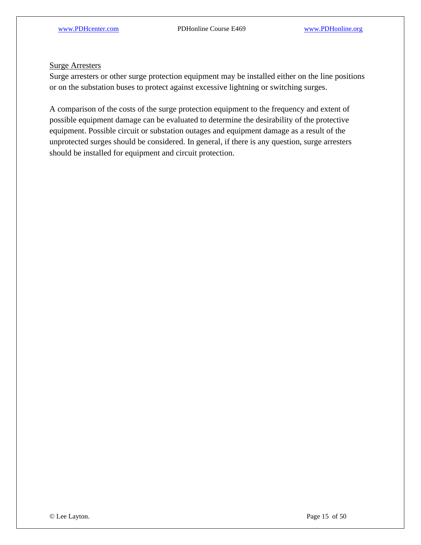#### Surge Arresters

Surge arresters or other surge protection equipment may be installed either on the line positions or on the substation buses to protect against excessive lightning or switching surges.

A comparison of the costs of the surge protection equipment to the frequency and extent of possible equipment damage can be evaluated to determine the desirability of the protective equipment. Possible circuit or substation outages and equipment damage as a result of the unprotected surges should be considered. In general, if there is any question, surge arresters should be installed for equipment and circuit protection.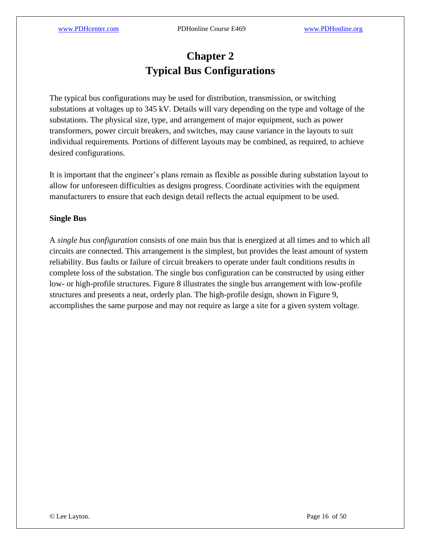## **Chapter 2 Typical Bus Configurations**

The typical bus configurations may be used for distribution, transmission, or switching substations at voltages up to 345 kV. Details will vary depending on the type and voltage of the substations. The physical size, type, and arrangement of major equipment, such as power transformers, power circuit breakers, and switches, may cause variance in the layouts to suit individual requirements. Portions of different layouts may be combined, as required, to achieve desired configurations.

It is important that the engineer's plans remain as flexible as possible during substation layout to allow for unforeseen difficulties as designs progress. Coordinate activities with the equipment manufacturers to ensure that each design detail reflects the actual equipment to be used.

#### **Single Bus**

A *single bus configuration* consists of one main bus that is energized at all times and to which all circuits are connected. This arrangement is the simplest, but provides the least amount of system reliability. Bus faults or failure of circuit breakers to operate under fault conditions results in complete loss of the substation. The single bus configuration can be constructed by using either low- or high-profile structures. Figure 8 illustrates the single bus arrangement with low-profile structures and presents a neat, orderly plan. The high-profile design, shown in Figure 9, accomplishes the same purpose and may not require as large a site for a given system voltage.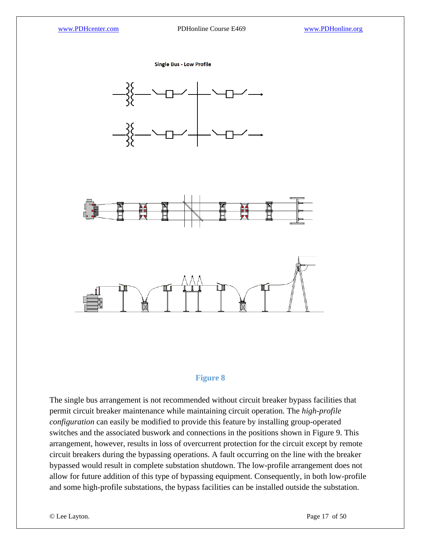**Single Bus - Low Profile** 





#### **Figure 8**

The single bus arrangement is not recommended without circuit breaker bypass facilities that permit circuit breaker maintenance while maintaining circuit operation. The *high-profile configuration* can easily be modified to provide this feature by installing group-operated switches and the associated buswork and connections in the positions shown in Figure 9. This arrangement, however, results in loss of overcurrent protection for the circuit except by remote circuit breakers during the bypassing operations. A fault occurring on the line with the breaker bypassed would result in complete substation shutdown. The low-profile arrangement does not allow for future addition of this type of bypassing equipment. Consequently, in both low-profile and some high-profile substations, the bypass facilities can be installed outside the substation.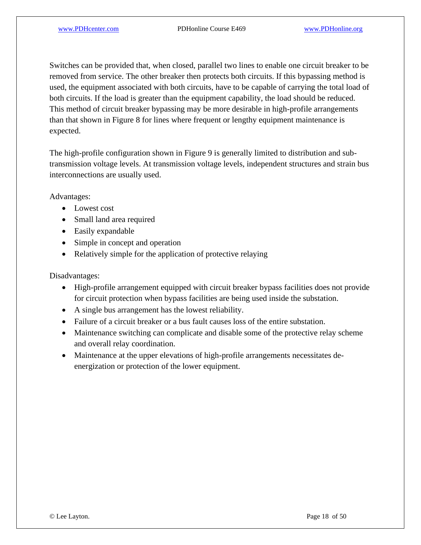Switches can be provided that, when closed, parallel two lines to enable one circuit breaker to be removed from service. The other breaker then protects both circuits. If this bypassing method is used, the equipment associated with both circuits, have to be capable of carrying the total load of both circuits. If the load is greater than the equipment capability, the load should be reduced. This method of circuit breaker bypassing may be more desirable in high-profile arrangements than that shown in Figure 8 for lines where frequent or lengthy equipment maintenance is expected.

The high-profile configuration shown in Figure 9 is generally limited to distribution and subtransmission voltage levels. At transmission voltage levels, independent structures and strain bus interconnections are usually used.

Advantages:

- Lowest cost
- Small land area required
- Easily expandable
- Simple in concept and operation
- Relatively simple for the application of protective relaying

Disadvantages:

- High-profile arrangement equipped with circuit breaker bypass facilities does not provide for circuit protection when bypass facilities are being used inside the substation.
- A single bus arrangement has the lowest reliability.
- Failure of a circuit breaker or a bus fault causes loss of the entire substation.
- Maintenance switching can complicate and disable some of the protective relay scheme and overall relay coordination.
- Maintenance at the upper elevations of high-profile arrangements necessitates deenergization or protection of the lower equipment.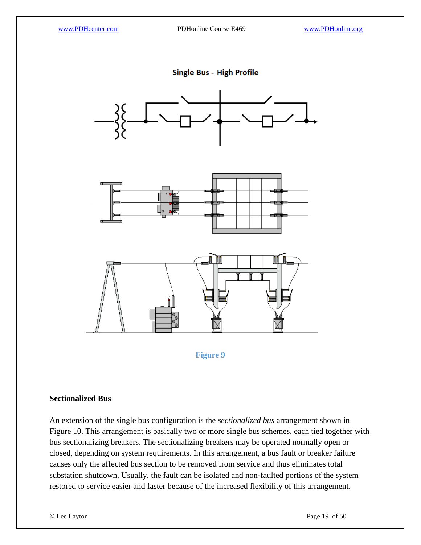**Single Bus - High Profile** 



#### **Sectionalized Bus**

An extension of the single bus configuration is the *sectionalized bus* arrangement shown in Figure 10. This arrangement is basically two or more single bus schemes, each tied together with bus sectionalizing breakers. The sectionalizing breakers may be operated normally open or closed, depending on system requirements. In this arrangement, a bus fault or breaker failure causes only the affected bus section to be removed from service and thus eliminates total substation shutdown. Usually, the fault can be isolated and non-faulted portions of the system restored to service easier and faster because of the increased flexibility of this arrangement.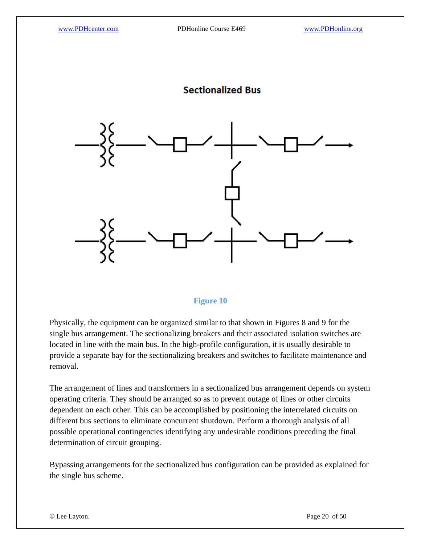**Sectionalized Bus** 



#### **Figure 10**

Physically, the equipment can be organized similar to that shown in Figures 8 and 9 for the single bus arrangement. The sectionalizing breakers and their associated isolation switches are located in line with the main bus. In the high-profile configuration, it is usually desirable to provide a separate bay for the sectionalizing breakers and switches to facilitate maintenance and removal.

The arrangement of lines and transformers in a sectionalized bus arrangement depends on system operating criteria. They should be arranged so as to prevent outage of lines or other circuits dependent on each other. This can be accomplished by positioning the interrelated circuits on different bus sections to eliminate concurrent shutdown. Perform a thorough analysis of all possible operational contingencies identifying any undesirable conditions preceding the final determination of circuit grouping.

Bypassing arrangements for the sectionalized bus configuration can be provided as explained for the single bus scheme.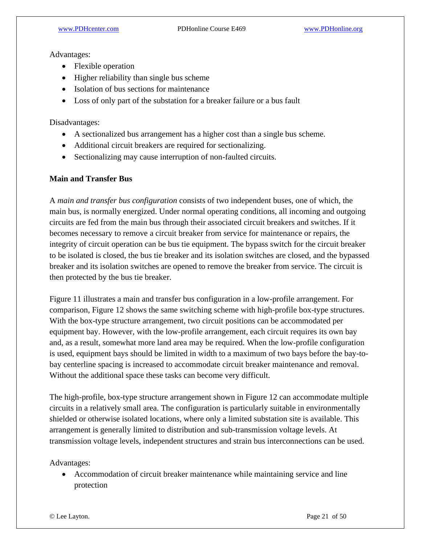Advantages:

- Flexible operation
- Higher reliability than single bus scheme
- Isolation of bus sections for maintenance
- Loss of only part of the substation for a breaker failure or a bus fault

Disadvantages:

- A sectionalized bus arrangement has a higher cost than a single bus scheme.
- Additional circuit breakers are required for sectionalizing.
- Sectionalizing may cause interruption of non-faulted circuits.

#### **Main and Transfer Bus**

A *main and transfer bus configuration* consists of two independent buses, one of which, the main bus, is normally energized. Under normal operating conditions, all incoming and outgoing circuits are fed from the main bus through their associated circuit breakers and switches. If it becomes necessary to remove a circuit breaker from service for maintenance or repairs, the integrity of circuit operation can be bus tie equipment. The bypass switch for the circuit breaker to be isolated is closed, the bus tie breaker and its isolation switches are closed, and the bypassed breaker and its isolation switches are opened to remove the breaker from service. The circuit is then protected by the bus tie breaker.

Figure 11 illustrates a main and transfer bus configuration in a low-profile arrangement. For comparison, Figure 12 shows the same switching scheme with high-profile box-type structures. With the box-type structure arrangement, two circuit positions can be accommodated per equipment bay. However, with the low-profile arrangement, each circuit requires its own bay and, as a result, somewhat more land area may be required. When the low-profile configuration is used, equipment bays should be limited in width to a maximum of two bays before the bay-tobay centerline spacing is increased to accommodate circuit breaker maintenance and removal. Without the additional space these tasks can become very difficult.

The high-profile, box-type structure arrangement shown in Figure 12 can accommodate multiple circuits in a relatively small area. The configuration is particularly suitable in environmentally shielded or otherwise isolated locations, where only a limited substation site is available. This arrangement is generally limited to distribution and sub-transmission voltage levels. At transmission voltage levels, independent structures and strain bus interconnections can be used.

Advantages:

• Accommodation of circuit breaker maintenance while maintaining service and line protection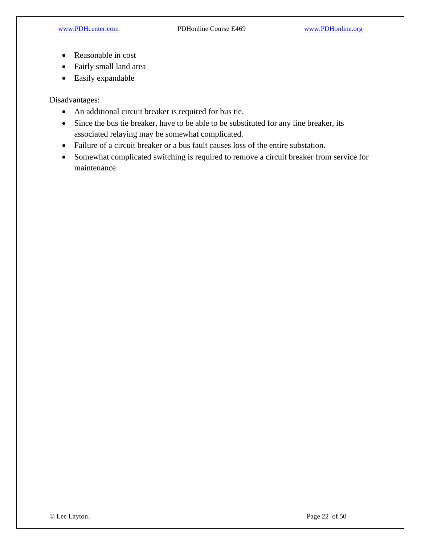- Reasonable in cost
- Fairly small land area
- Easily expandable

Disadvantages:

- An additional circuit breaker is required for bus tie.
- Since the bus tie breaker, have to be able to be substituted for any line breaker, its associated relaying may be somewhat complicated.
- Failure of a circuit breaker or a bus fault causes loss of the entire substation.
- Somewhat complicated switching is required to remove a circuit breaker from service for maintenance.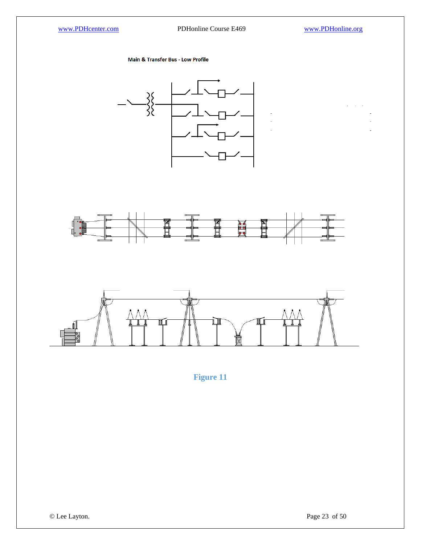÷,

Main & Transfer Bus - Low Profile







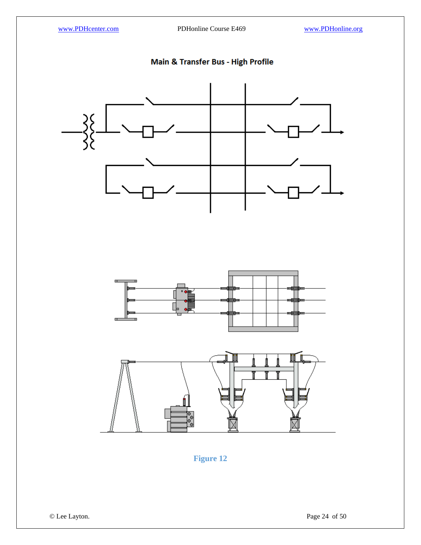### Main & Transfer Bus - High Profile



**Figure 12**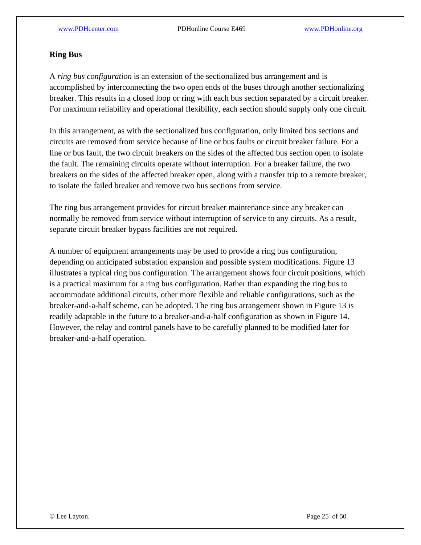#### **Ring Bus**

A *ring bus configuration* is an extension of the sectionalized bus arrangement and is accomplished by interconnecting the two open ends of the buses through another sectionalizing breaker. This results in a closed loop or ring with each bus section separated by a circuit breaker. For maximum reliability and operational flexibility, each section should supply only one circuit.

In this arrangement, as with the sectionalized bus configuration, only limited bus sections and circuits are removed from service because of line or bus faults or circuit breaker failure. For a line or bus fault, the two circuit breakers on the sides of the affected bus section open to isolate the fault. The remaining circuits operate without interruption. For a breaker failure, the two breakers on the sides of the affected breaker open, along with a transfer trip to a remote breaker, to isolate the failed breaker and remove two bus sections from service.

The ring bus arrangement provides for circuit breaker maintenance since any breaker can normally be removed from service without interruption of service to any circuits. As a result, separate circuit breaker bypass facilities are not required.

A number of equipment arrangements may be used to provide a ring bus configuration, depending on anticipated substation expansion and possible system modifications. Figure 13 illustrates a typical ring bus configuration. The arrangement shows four circuit positions, which is a practical maximum for a ring bus configuration. Rather than expanding the ring bus to accommodate additional circuits, other more flexible and reliable configurations, such as the breaker-and-a-half scheme, can be adopted. The ring bus arrangement shown in Figure 13 is readily adaptable in the future to a breaker-and-a-half configuration as shown in Figure 14. However, the relay and control panels have to be carefully planned to be modified later for breaker-and-a-half operation.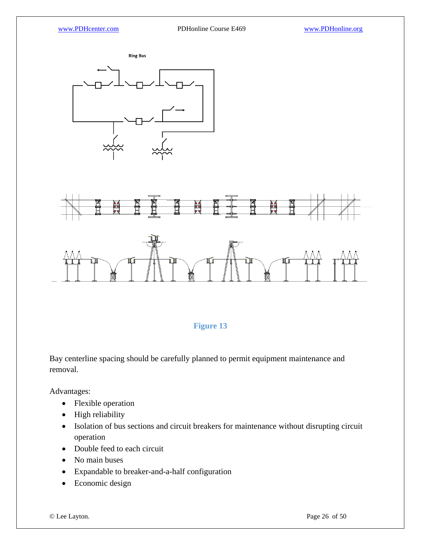



#### **Figure 13**

Bay centerline spacing should be carefully planned to permit equipment maintenance and removal.

Advantages:

- Flexible operation
- High reliability
- Isolation of bus sections and circuit breakers for maintenance without disrupting circuit operation
- Double feed to each circuit
- No main buses
- Expandable to breaker-and-a-half configuration
- Economic design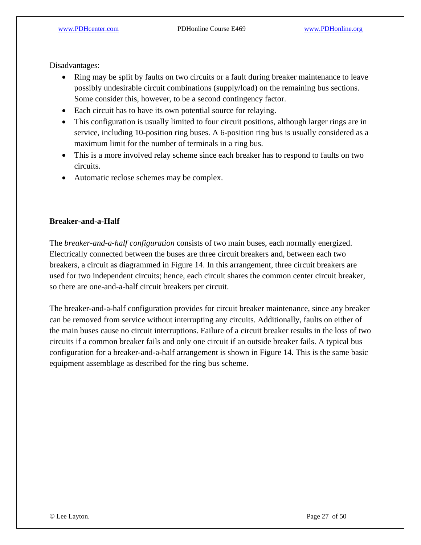Disadvantages:

- Ring may be split by faults on two circuits or a fault during breaker maintenance to leave possibly undesirable circuit combinations (supply/load) on the remaining bus sections. Some consider this, however, to be a second contingency factor.
- Each circuit has to have its own potential source for relaying.
- This configuration is usually limited to four circuit positions, although larger rings are in service, including 10-position ring buses. A 6-position ring bus is usually considered as a maximum limit for the number of terminals in a ring bus.
- This is a more involved relay scheme since each breaker has to respond to faults on two circuits.
- Automatic reclose schemes may be complex.

#### **Breaker-and-a-Half**

The *breaker-and-a-half configuration* consists of two main buses, each normally energized. Electrically connected between the buses are three circuit breakers and, between each two breakers, a circuit as diagrammed in Figure 14. In this arrangement, three circuit breakers are used for two independent circuits; hence, each circuit shares the common center circuit breaker, so there are one-and-a-half circuit breakers per circuit.

The breaker-and-a-half configuration provides for circuit breaker maintenance, since any breaker can be removed from service without interrupting any circuits. Additionally, faults on either of the main buses cause no circuit interruptions. Failure of a circuit breaker results in the loss of two circuits if a common breaker fails and only one circuit if an outside breaker fails. A typical bus configuration for a breaker-and-a-half arrangement is shown in Figure 14. This is the same basic equipment assemblage as described for the ring bus scheme.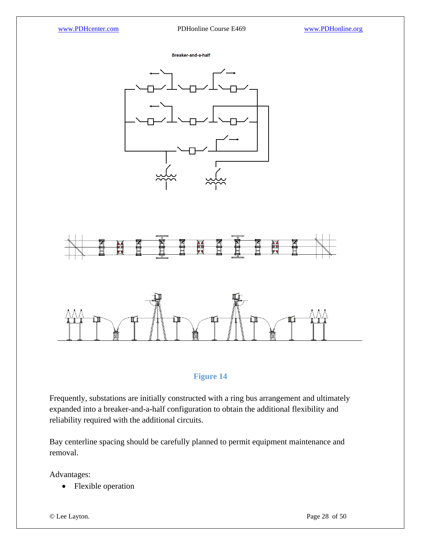**Breaker-and-a-half** 







Frequently, substations are initially constructed with a ring bus arrangement and ultimately expanded into a breaker-and-a-half configuration to obtain the additional flexibility and reliability required with the additional circuits.

Bay centerline spacing should be carefully planned to permit equipment maintenance and removal.

Advantages:

• Flexible operation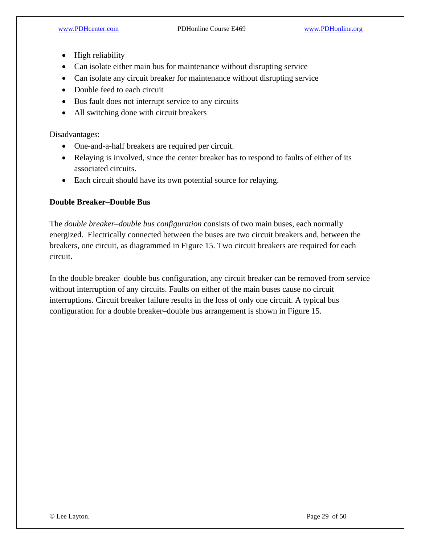- High reliability
- Can isolate either main bus for maintenance without disrupting service
- Can isolate any circuit breaker for maintenance without disrupting service
- Double feed to each circuit
- Bus fault does not interrupt service to any circuits
- All switching done with circuit breakers

Disadvantages:

- One-and-a-half breakers are required per circuit.
- Relaying is involved, since the center breaker has to respond to faults of either of its associated circuits.
- Each circuit should have its own potential source for relaying.

#### **Double Breaker–Double Bus**

The *double breaker–double bus configuration* consists of two main buses, each normally energized. Electrically connected between the buses are two circuit breakers and, between the breakers, one circuit, as diagrammed in Figure 15. Two circuit breakers are required for each circuit.

In the double breaker–double bus configuration, any circuit breaker can be removed from service without interruption of any circuits. Faults on either of the main buses cause no circuit interruptions. Circuit breaker failure results in the loss of only one circuit. A typical bus configuration for a double breaker–double bus arrangement is shown in Figure 15.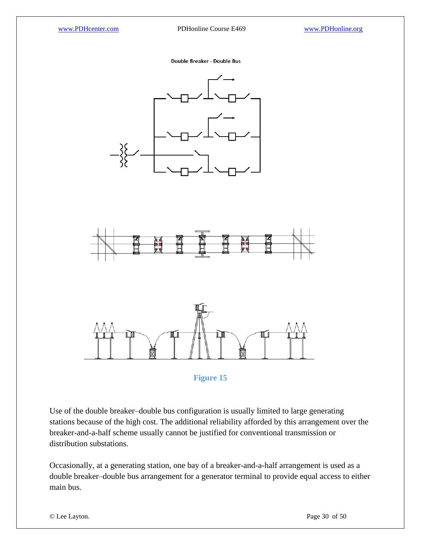Double Breaker - Double Bus









Use of the double breaker–double bus configuration is usually limited to large generating stations because of the high cost. The additional reliability afforded by this arrangement over the breaker-and-a-half scheme usually cannot be justified for conventional transmission or distribution substations.

Occasionally, at a generating station, one bay of a breaker-and-a-half arrangement is used as a double breaker–double bus arrangement for a generator terminal to provide equal access to either main bus.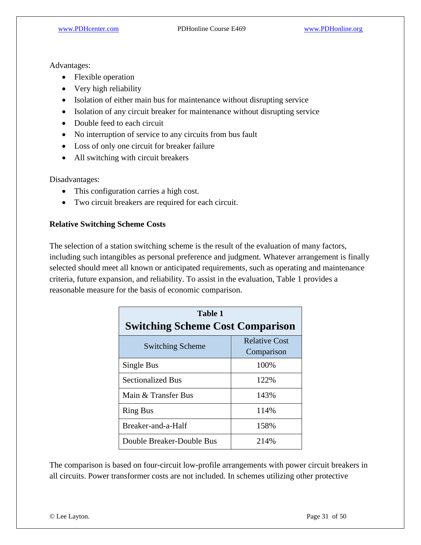Advantages:

- Flexible operation
- Very high reliability
- Isolation of either main bus for maintenance without disrupting service
- Isolation of any circuit breaker for maintenance without disrupting service
- Double feed to each circuit
- No interruption of service to any circuits from bus fault
- Loss of only one circuit for breaker failure
- All switching with circuit breakers

Disadvantages:

- This configuration carries a high cost.
- Two circuit breakers are required for each circuit.

#### **Relative Switching Scheme Costs**

The selection of a station switching scheme is the result of the evaluation of many factors, including such intangibles as personal preference and judgment. Whatever arrangement is finally selected should meet all known or anticipated requirements, such as operating and maintenance criteria, future expansion, and reliability. To assist in the evaluation, Table 1 provides a reasonable measure for the basis of economic comparison.

| Table 1                                 |                      |  |  |  |
|-----------------------------------------|----------------------|--|--|--|
| <b>Switching Scheme Cost Comparison</b> |                      |  |  |  |
| <b>Switching Scheme</b>                 | <b>Relative Cost</b> |  |  |  |
|                                         | Comparison           |  |  |  |
| Single Bus                              | 100%                 |  |  |  |
| <b>Sectionalized Bus</b>                | 122%                 |  |  |  |
| Main & Transfer Bus                     | 143%                 |  |  |  |
| <b>Ring Bus</b>                         | 114%                 |  |  |  |
| Breaker-and-a-Half                      | 158%                 |  |  |  |
| Double Breaker-Double Bus               | 214%                 |  |  |  |

The comparison is based on four-circuit low-profile arrangements with power circuit breakers in all circuits. Power transformer costs are not included. In schemes utilizing other protective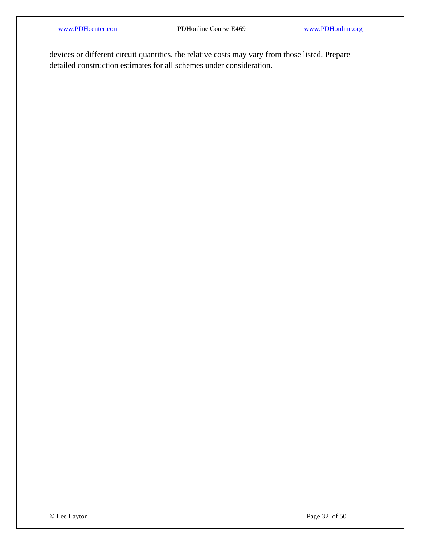devices or different circuit quantities, the relative costs may vary from those listed. Prepare detailed construction estimates for all schemes under consideration.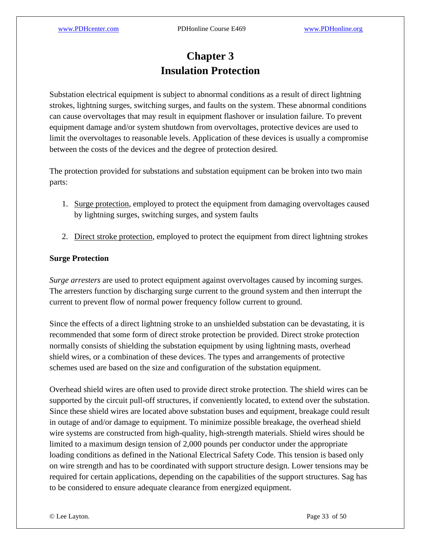## **Chapter 3 Insulation Protection**

Substation electrical equipment is subject to abnormal conditions as a result of direct lightning strokes, lightning surges, switching surges, and faults on the system. These abnormal conditions can cause overvoltages that may result in equipment flashover or insulation failure. To prevent equipment damage and/or system shutdown from overvoltages, protective devices are used to limit the overvoltages to reasonable levels. Application of these devices is usually a compromise between the costs of the devices and the degree of protection desired.

The protection provided for substations and substation equipment can be broken into two main parts:

- 1. Surge protection, employed to protect the equipment from damaging overvoltages caused by lightning surges, switching surges, and system faults
- 2. Direct stroke protection, employed to protect the equipment from direct lightning strokes

#### **Surge Protection**

*Surge arresters* are used to protect equipment against overvoltages caused by incoming surges. The arresters function by discharging surge current to the ground system and then interrupt the current to prevent flow of normal power frequency follow current to ground.

Since the effects of a direct lightning stroke to an unshielded substation can be devastating, it is recommended that some form of direct stroke protection be provided. Direct stroke protection normally consists of shielding the substation equipment by using lightning masts, overhead shield wires, or a combination of these devices. The types and arrangements of protective schemes used are based on the size and configuration of the substation equipment.

Overhead shield wires are often used to provide direct stroke protection. The shield wires can be supported by the circuit pull-off structures, if conveniently located, to extend over the substation. Since these shield wires are located above substation buses and equipment, breakage could result in outage of and/or damage to equipment. To minimize possible breakage, the overhead shield wire systems are constructed from high-quality, high-strength materials. Shield wires should be limited to a maximum design tension of 2,000 pounds per conductor under the appropriate loading conditions as defined in the National Electrical Safety Code. This tension is based only on wire strength and has to be coordinated with support structure design. Lower tensions may be required for certain applications, depending on the capabilities of the support structures. Sag has to be considered to ensure adequate clearance from energized equipment.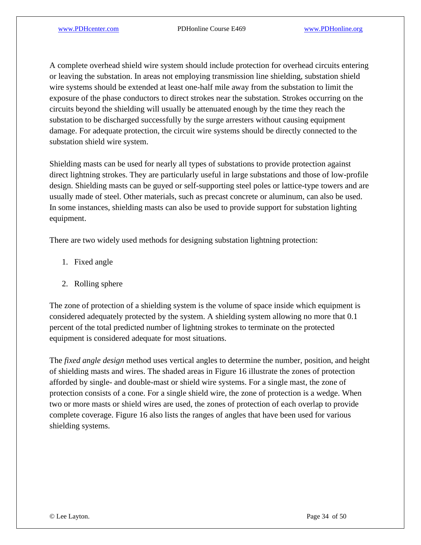A complete overhead shield wire system should include protection for overhead circuits entering or leaving the substation. In areas not employing transmission line shielding, substation shield wire systems should be extended at least one-half mile away from the substation to limit the exposure of the phase conductors to direct strokes near the substation. Strokes occurring on the circuits beyond the shielding will usually be attenuated enough by the time they reach the substation to be discharged successfully by the surge arresters without causing equipment damage. For adequate protection, the circuit wire systems should be directly connected to the substation shield wire system.

Shielding masts can be used for nearly all types of substations to provide protection against direct lightning strokes. They are particularly useful in large substations and those of low-profile design. Shielding masts can be guyed or self-supporting steel poles or lattice-type towers and are usually made of steel. Other materials, such as precast concrete or aluminum, can also be used. In some instances, shielding masts can also be used to provide support for substation lighting equipment.

There are two widely used methods for designing substation lightning protection:

- 1. Fixed angle
- 2. Rolling sphere

The zone of protection of a shielding system is the volume of space inside which equipment is considered adequately protected by the system. A shielding system allowing no more that 0.1 percent of the total predicted number of lightning strokes to terminate on the protected equipment is considered adequate for most situations.

The *fixed angle design* method uses vertical angles to determine the number, position, and height of shielding masts and wires. The shaded areas in Figure 16 illustrate the zones of protection afforded by single- and double-mast or shield wire systems. For a single mast, the zone of protection consists of a cone. For a single shield wire, the zone of protection is a wedge. When two or more masts or shield wires are used, the zones of protection of each overlap to provide complete coverage. Figure 16 also lists the ranges of angles that have been used for various shielding systems.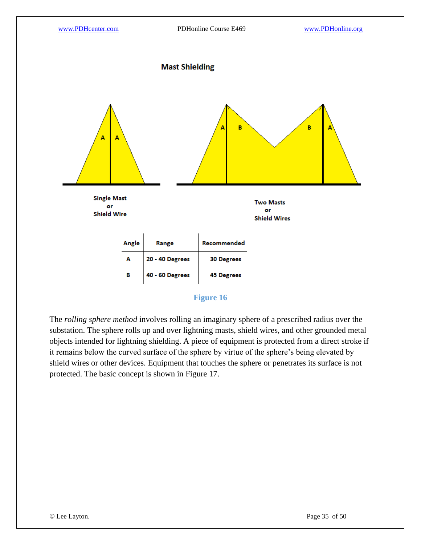



The *rolling sphere method* involves rolling an imaginary sphere of a prescribed radius over the substation. The sphere rolls up and over lightning masts, shield wires, and other grounded metal objects intended for lightning shielding. A piece of equipment is protected from a direct stroke if it remains below the curved surface of the sphere by virtue of the sphere's being elevated by shield wires or other devices. Equipment that touches the sphere or penetrates its surface is not protected. The basic concept is shown in Figure 17.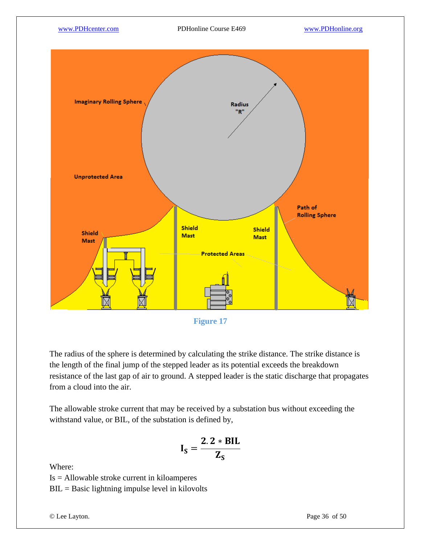



The radius of the sphere is determined by calculating the strike distance. The strike distance is the length of the final jump of the stepped leader as its potential exceeds the breakdown resistance of the last gap of air to ground. A stepped leader is the static discharge that propagates from a cloud into the air.

The allowable stroke current that may be received by a substation bus without exceeding the withstand value, or BIL, of the substation is defined by,

$$
I_S = \frac{2.2 * BIL}{Z_S}
$$

Where:

 $Is = Allowable stroke current in kiloamperes$  $BIL = Basic$  lightning impulse level in kilovolts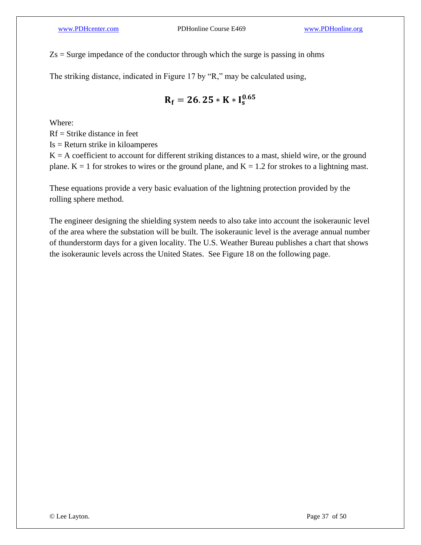$Z_s$  = Surge impedance of the conductor through which the surge is passing in ohms

The striking distance, indicated in Figure 17 by "R," may be calculated using,

$$
R_f = 26.25 * K * I_s^{0.65}
$$

Where:

 $Rf = Strike$  distance in feet

 $Is = Return$  strike in kiloamperes

 $K = A$  coefficient to account for different striking distances to a mast, shield wire, or the ground plane.  $K = 1$  for strokes to wires or the ground plane, and  $K = 1.2$  for strokes to a lightning mast.

These equations provide a very basic evaluation of the lightning protection provided by the rolling sphere method.

The engineer designing the shielding system needs to also take into account the isokeraunic level of the area where the substation will be built. The isokeraunic level is the average annual number of thunderstorm days for a given locality. The U.S. Weather Bureau publishes a chart that shows the isokeraunic levels across the United States. See Figure 18 on the following page.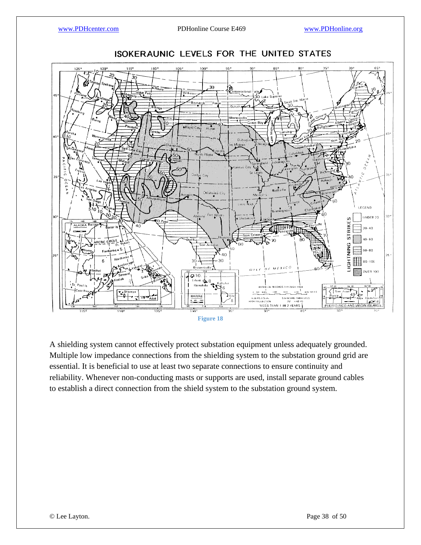

#### ISOKERAUNIC LEVELS FOR THE UNITED STATES

A shielding system cannot effectively protect substation equipment unless adequately grounded. Multiple low impedance connections from the shielding system to the substation ground grid are essential. It is beneficial to use at least two separate connections to ensure continuity and reliability. Whenever non-conducting masts or supports are used, install separate ground cables to establish a direct connection from the shield system to the substation ground system.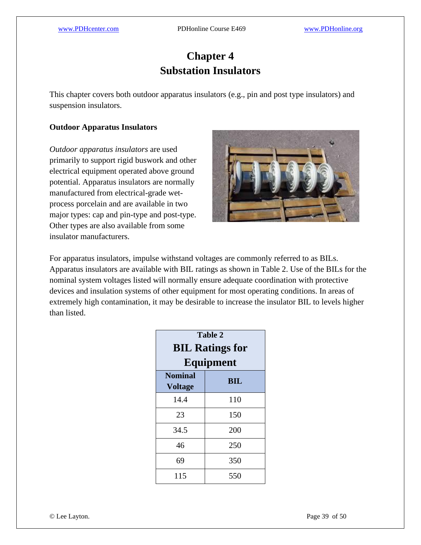## **Chapter 4 Substation Insulators**

This chapter covers both outdoor apparatus insulators (e.g., pin and post type insulators) and suspension insulators.

#### **Outdoor Apparatus Insulators**

*Outdoor apparatus insulators* are used primarily to support rigid buswork and other electrical equipment operated above ground potential. Apparatus insulators are normally manufactured from electrical-grade wetprocess porcelain and are available in two major types: cap and pin-type and post-type. Other types are also available from some insulator manufacturers.



For apparatus insulators, impulse withstand voltages are commonly referred to as BILs. Apparatus insulators are available with BIL ratings as shown in Table 2. Use of the BILs for the nominal system voltages listed will normally ensure adequate coordination with protective devices and insulation systems of other equipment for most operating conditions. In areas of extremely high contamination, it may be desirable to increase the insulator BIL to levels higher than listed.

| <b>Table 2</b><br><b>BIL Ratings for</b><br><b>Equipment</b> |     |  |  |  |
|--------------------------------------------------------------|-----|--|--|--|
| <b>Nominal</b><br><b>Voltage</b>                             | BIL |  |  |  |
| 14.4                                                         | 110 |  |  |  |
| 23                                                           | 150 |  |  |  |
| 34.5                                                         | 200 |  |  |  |
| 46                                                           | 250 |  |  |  |
| 69                                                           | 350 |  |  |  |
| 115                                                          | 550 |  |  |  |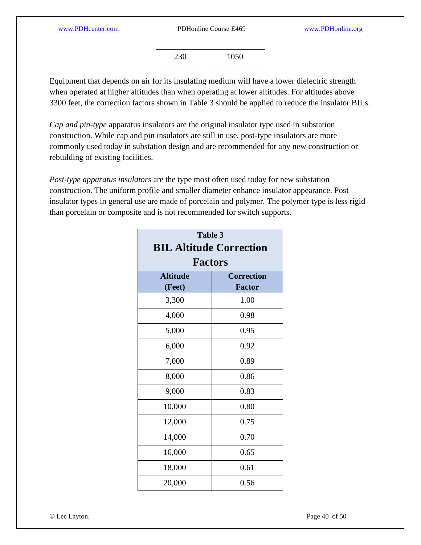

Equipment that depends on air for its insulating medium will have a lower dielectric strength when operated at higher altitudes than when operating at lower altitudes. For altitudes above 3300 feet, the correction factors shown in Table 3 should be applied to reduce the insulator BILs.

*Cap and pin-type* apparatus insulators are the original insulator type used in substation construction. While cap and pin insulators are still in use, post-type insulators are more commonly used today in substation design and are recommended for any new construction or rebuilding of existing facilities.

*Post-type apparatus insulators* are the type most often used today for new substation construction. The uniform profile and smaller diameter enhance insulator appearance. Post insulator types in general use are made of porcelain and polymer. The polymer type is less rigid than porcelain or composite and is not recommended for switch supports.

| Table 3                        |                   |  |  |  |
|--------------------------------|-------------------|--|--|--|
| <b>BIL Altitude Correction</b> |                   |  |  |  |
| <b>Factors</b>                 |                   |  |  |  |
| <b>Altitude</b>                | <b>Correction</b> |  |  |  |
| (Feet)                         | <b>Factor</b>     |  |  |  |
| 3,300                          | 1.00              |  |  |  |
| 4,000                          | 0.98              |  |  |  |
| 5,000                          | 0.95              |  |  |  |
| 6,000                          | 0.92              |  |  |  |
| 7,000                          | 0.89              |  |  |  |
| 8,000                          | 0.86              |  |  |  |
| 9,000                          | 0.83              |  |  |  |
| 10,000                         | 0.80              |  |  |  |
| 12,000                         | 0.75              |  |  |  |
| 14,000                         | 0.70              |  |  |  |
| 16,000                         | 0.65              |  |  |  |
| 18,000                         | 0.61              |  |  |  |
| 20,000                         | 0.56              |  |  |  |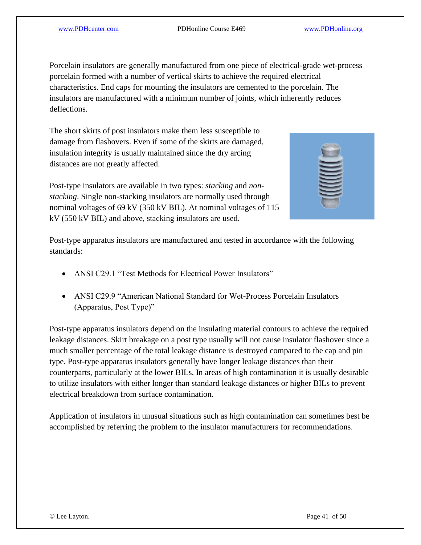Porcelain insulators are generally manufactured from one piece of electrical-grade wet-process porcelain formed with a number of vertical skirts to achieve the required electrical characteristics. End caps for mounting the insulators are cemented to the porcelain. The insulators are manufactured with a minimum number of joints, which inherently reduces deflections.

The short skirts of post insulators make them less susceptible to damage from flashovers. Even if some of the skirts are damaged, insulation integrity is usually maintained since the dry arcing distances are not greatly affected.

Post-type insulators are available in two types: *stacking* and *nonstacking*. Single non-stacking insulators are normally used through nominal voltages of 69 kV (350 kV BIL). At nominal voltages of 115 kV (550 kV BIL) and above, stacking insulators are used.



Post-type apparatus insulators are manufactured and tested in accordance with the following standards:

- ANSI C29.1 "Test Methods for Electrical Power Insulators"
- ANSI C29.9 "American National Standard for Wet-Process Porcelain Insulators (Apparatus, Post Type)"

Post-type apparatus insulators depend on the insulating material contours to achieve the required leakage distances. Skirt breakage on a post type usually will not cause insulator flashover since a much smaller percentage of the total leakage distance is destroyed compared to the cap and pin type. Post-type apparatus insulators generally have longer leakage distances than their counterparts, particularly at the lower BILs. In areas of high contamination it is usually desirable to utilize insulators with either longer than standard leakage distances or higher BILs to prevent electrical breakdown from surface contamination.

Application of insulators in unusual situations such as high contamination can sometimes best be accomplished by referring the problem to the insulator manufacturers for recommendations.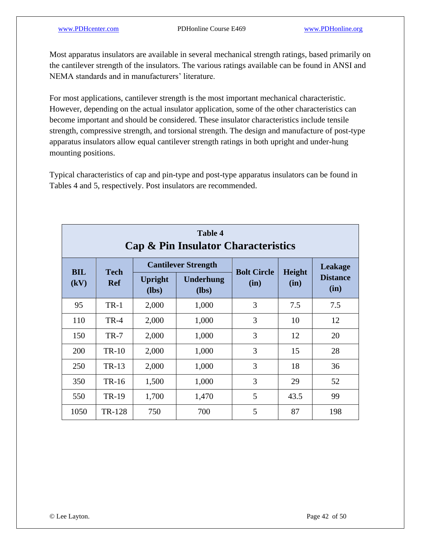Most apparatus insulators are available in several mechanical strength ratings, based primarily on the cantilever strength of the insulators. The various ratings available can be found in ANSI and NEMA standards and in manufacturers' literature.

For most applications, cantilever strength is the most important mechanical characteristic. However, depending on the actual insulator application, some of the other characteristics can become important and should be considered. These insulator characteristics include tensile strength, compressive strength, and torsional strength. The design and manufacture of post-type apparatus insulators allow equal cantilever strength ratings in both upright and under-hung mounting positions.

Typical characteristics of cap and pin-type and post-type apparatus insulators can be found in Tables 4 and 5, respectively. Post insulators are recommended.

| Table 4<br>Cap & Pin Insulator Characteristics |                    |                           |                                                           |                            |                |                                    |  |
|------------------------------------------------|--------------------|---------------------------|-----------------------------------------------------------|----------------------------|----------------|------------------------------------|--|
| <b>BIL</b><br>(kV)                             | <b>Tech</b><br>Ref | <b>Upright</b><br>$(lbs)$ | <b>Cantilever Strength</b><br><b>Underhung</b><br>$(lbs)$ | <b>Bolt Circle</b><br>(in) | Height<br>(in) | Leakage<br><b>Distance</b><br>(in) |  |
| 95                                             | $TR-1$             | 2,000                     | 1,000                                                     | 3                          | 7.5            | 7.5                                |  |
| 110                                            | $TR-4$             | 2,000                     | 1,000                                                     | 3                          | 10             | 12                                 |  |
| 150                                            | $TR-7$             | 2,000                     | 1,000                                                     | 3                          | 12             | 20                                 |  |
| 200                                            | $TR-10$            | 2,000                     | 1,000                                                     | 3                          | 15             | 28                                 |  |
| 250                                            | TR-13              | 2,000                     | 1,000                                                     | 3                          | 18             | 36                                 |  |
| 350                                            | TR-16              | 1,500                     | 1,000                                                     | 3                          | 29             | 52                                 |  |
| 550                                            | TR-19              | 1,700                     | 1,470                                                     | 5                          | 43.5           | 99                                 |  |
| 1050                                           | TR-128             | 750                       | 700                                                       | 5                          | 87             | 198                                |  |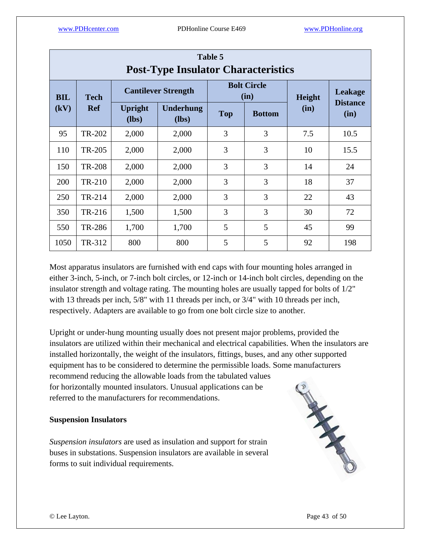|            | Table 5<br><b>Post-Type Insulator Characteristics</b> |                           |                             |            |                            |        |                         |  |
|------------|-------------------------------------------------------|---------------------------|-----------------------------|------------|----------------------------|--------|-------------------------|--|
| <b>BIL</b> | <b>Tech</b>                                           |                           | <b>Cantilever Strength</b>  |            | <b>Bolt Circle</b><br>(in) | Height | <b>Leakage</b>          |  |
| (kV)       | <b>Ref</b>                                            | <b>Upright</b><br>$(lbs)$ | <b>Underhung</b><br>$(lbs)$ | <b>Top</b> | <b>Bottom</b>              | (in)   | <b>Distance</b><br>(in) |  |
| 95         | TR-202                                                | 2,000                     | 2,000                       | 3          | 3                          | 7.5    | 10.5                    |  |
| 110        | TR-205                                                | 2,000                     | 2,000                       | 3          | 3                          | 10     | 15.5                    |  |
| 150        | <b>TR-208</b>                                         | 2,000                     | 2,000                       | 3          | 3                          | 14     | 24                      |  |
| 200        | TR-210                                                | 2,000                     | 2,000                       | 3          | 3                          | 18     | 37                      |  |
| 250        | TR-214                                                | 2,000                     | 2,000                       | 3          | 3                          | 22     | 43                      |  |
| 350        | TR-216                                                | 1,500                     | 1,500                       | 3          | 3                          | 30     | 72                      |  |
| 550        | TR-286                                                | 1,700                     | 1,700                       | 5          | 5                          | 45     | 99                      |  |
| 1050       | TR-312                                                | 800                       | 800                         | 5          | 5                          | 92     | 198                     |  |

Most apparatus insulators are furnished with end caps with four mounting holes arranged in either 3-inch, 5-inch, or 7-inch bolt circles, or 12-inch or 14-inch bolt circles, depending on the insulator strength and voltage rating. The mounting holes are usually tapped for bolts of 1/2" with 13 threads per inch,  $5/8$ " with 11 threads per inch, or  $3/4$ " with 10 threads per inch, respectively. Adapters are available to go from one bolt circle size to another.

Upright or under-hung mounting usually does not present major problems, provided the insulators are utilized within their mechanical and electrical capabilities. When the insulators are installed horizontally, the weight of the insulators, fittings, buses, and any other supported equipment has to be considered to determine the permissible loads. Some manufacturers recommend reducing the allowable loads from the tabulated values for horizontally mounted insulators. Unusual applications can be

referred to the manufacturers for recommendations.

#### **Suspension Insulators**

*Suspension insulators* are used as insulation and support for strain buses in substations. Suspension insulators are available in several forms to suit individual requirements.

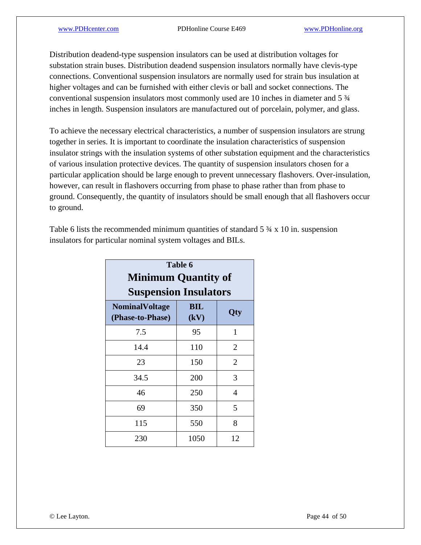Distribution deadend-type suspension insulators can be used at distribution voltages for substation strain buses. Distribution deadend suspension insulators normally have clevis-type connections. Conventional suspension insulators are normally used for strain bus insulation at higher voltages and can be furnished with either clevis or ball and socket connections. The conventional suspension insulators most commonly used are 10 inches in diameter and 5 ¾ inches in length. Suspension insulators are manufactured out of porcelain, polymer, and glass.

To achieve the necessary electrical characteristics, a number of suspension insulators are strung together in series. It is important to coordinate the insulation characteristics of suspension insulator strings with the insulation systems of other substation equipment and the characteristics of various insulation protective devices. The quantity of suspension insulators chosen for a particular application should be large enough to prevent unnecessary flashovers. Over-insulation, however, can result in flashovers occurring from phase to phase rather than from phase to ground. Consequently, the quantity of insulators should be small enough that all flashovers occur to ground.

Table 6 lists the recommended minimum quantities of standard 5  $\frac{3}{4}$  x 10 in. suspension insulators for particular nominal system voltages and BILs.

| Table 6<br><b>Minimum Quantity of</b><br><b>Suspension Insulators</b>  |      |                |  |  |  |
|------------------------------------------------------------------------|------|----------------|--|--|--|
| <b>BIL</b><br><b>NominalVoltage</b><br>Qty<br>(Phase-to-Phase)<br>(kV) |      |                |  |  |  |
| 7.5                                                                    | 95   | 1              |  |  |  |
| 14.4                                                                   | 110  | 2              |  |  |  |
| 23                                                                     | 150  | $\overline{2}$ |  |  |  |
| 34.5                                                                   | 200  | 3              |  |  |  |
| 46                                                                     | 250  | 4              |  |  |  |
| 69                                                                     | 350  | 5              |  |  |  |
| 115                                                                    | 550  | 8              |  |  |  |
| 230                                                                    | 1050 | 12             |  |  |  |

© Lee Layton. Page 44 of 50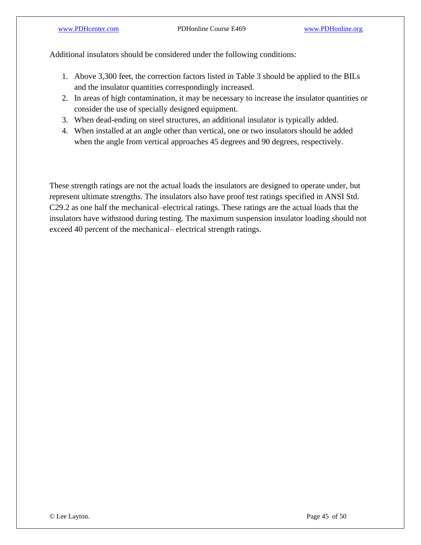Additional insulators should be considered under the following conditions:

- 1. Above 3,300 feet, the correction factors listed in Table 3 should be applied to the BILs and the insulator quantities correspondingly increased.
- 2. In areas of high contamination, it may be necessary to increase the insulator quantities or consider the use of specially designed equipment.
- 3. When dead-ending on steel structures, an additional insulator is typically added.
- 4. When installed at an angle other than vertical, one or two insulators should be added when the angle from vertical approaches 45 degrees and 90 degrees, respectively.

These strength ratings are not the actual loads the insulators are designed to operate under, but represent ultimate strengths. The insulators also have proof test ratings specified in ANSI Std. C29.2 as one half the mechanical–electrical ratings. These ratings are the actual loads that the insulators have withstood during testing. The maximum suspension insulator loading should not exceed 40 percent of the mechanical– electrical strength ratings.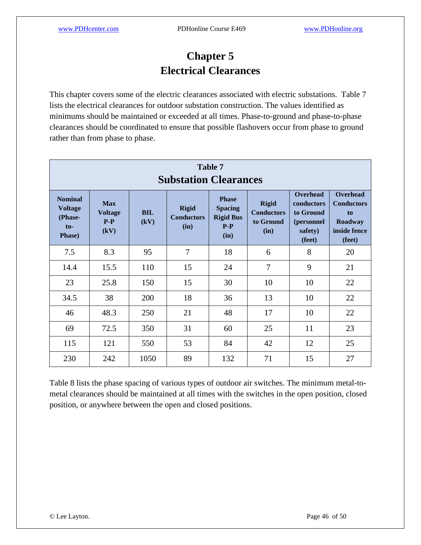## **Chapter 5 Electrical Clearances**

This chapter covers some of the electric clearances associated with electric substations. Table 7 lists the electrical clearances for outdoor substation construction. The values identified as minimums should be maintained or exceeded at all times. Phase-to-ground and phase-to-phase clearances should be coordinated to ensure that possible flashovers occur from phase to ground rather than from phase to phase.

| <b>Table 7</b><br><b>Substation Clearances</b>                  |                                               |                    |                                           |                                                                     |                                                        |                                                                        |                                                                                 |
|-----------------------------------------------------------------|-----------------------------------------------|--------------------|-------------------------------------------|---------------------------------------------------------------------|--------------------------------------------------------|------------------------------------------------------------------------|---------------------------------------------------------------------------------|
| <b>Nominal</b><br><b>Voltage</b><br>(Phase-<br>$to$ -<br>Phase) | <b>Max</b><br><b>Voltage</b><br>$P-P$<br>(kV) | <b>BIL</b><br>(kV) | <b>Rigid</b><br><b>Conductors</b><br>(in) | <b>Phase</b><br><b>Spacing</b><br><b>Rigid Bus</b><br>$P-P$<br>(in) | <b>Rigid</b><br><b>Conductors</b><br>to Ground<br>(in) | Overhead<br>conductors<br>to Ground<br>(personnel<br>safety)<br>(feet) | <b>Overhead</b><br><b>Conductors</b><br>to<br>Roadway<br>inside fence<br>(feet) |
| 7.5                                                             | 8.3                                           | 95                 | 7                                         | 18                                                                  | 6                                                      | 8                                                                      | 20                                                                              |
| 14.4                                                            | 15.5                                          | 110                | 15                                        | 24                                                                  | $\overline{7}$                                         | 9                                                                      | 21                                                                              |
| 23                                                              | 25.8                                          | 150                | 15                                        | 30                                                                  | 10                                                     | 10                                                                     | 22                                                                              |
| 34.5                                                            | 38                                            | 200                | 18                                        | 36                                                                  | 13                                                     | 10                                                                     | 22                                                                              |
| 46                                                              | 48.3                                          | 250                | 21                                        | 48                                                                  | 17                                                     | 10                                                                     | 22                                                                              |
| 69                                                              | 72.5                                          | 350                | 31                                        | 60                                                                  | 25                                                     | 11                                                                     | 23                                                                              |
| 115                                                             | 121                                           | 550                | 53                                        | 84                                                                  | 42                                                     | 12                                                                     | 25                                                                              |
| 230                                                             | 242                                           | 1050               | 89                                        | 132                                                                 | 71                                                     | 15                                                                     | 27                                                                              |

Table 8 lists the phase spacing of various types of outdoor air switches. The minimum metal-tometal clearances should be maintained at all times with the switches in the open position, closed position, or anywhere between the open and closed positions.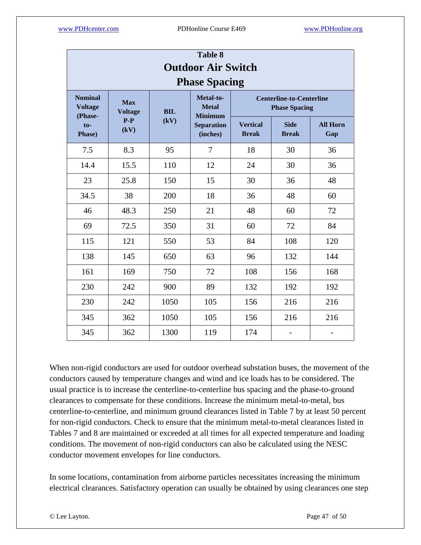| <b>Table 8</b>                              |                              |            |                                             |                                 |                                                         |                        |
|---------------------------------------------|------------------------------|------------|---------------------------------------------|---------------------------------|---------------------------------------------------------|------------------------|
| <b>Outdoor Air Switch</b>                   |                              |            |                                             |                                 |                                                         |                        |
|                                             |                              |            | <b>Phase Spacing</b>                        |                                 |                                                         |                        |
| <b>Nominal</b><br><b>Voltage</b><br>(Phase- | <b>Max</b><br><b>Voltage</b> | <b>BIL</b> | Metal-to-<br><b>Metal</b><br><b>Minimum</b> |                                 | <b>Centerline-to-Centerline</b><br><b>Phase Spacing</b> |                        |
| to-<br>Phase)                               | $P-P$<br>(kV)                | (kV)       | <b>Separation</b><br>(inches)               | <b>Vertical</b><br><b>Break</b> | <b>Side</b><br><b>Break</b>                             | <b>All Horn</b><br>Gap |
| 7.5                                         | 8.3                          | 95         | $\overline{7}$                              | 18                              | 30                                                      | 36                     |
| 14.4                                        | 15.5                         | 110        | 12                                          | 24                              | 30                                                      | 36                     |
| 23                                          | 25.8                         | 150        | 15                                          | 30                              | 36                                                      | 48                     |
| 34.5                                        | 38                           | 200        | 18                                          | 36                              | 48                                                      | 60                     |
| 46                                          | 48.3                         | 250        | 21                                          | 48                              | 60                                                      | 72                     |
| 69                                          | 72.5                         | 350        | 31                                          | 60                              | 72                                                      | 84                     |
| 115                                         | 121                          | 550        | 53                                          | 84                              | 108                                                     | 120                    |
| 138                                         | 145                          | 650        | 63                                          | 96                              | 132                                                     | 144                    |
| 161                                         | 169                          | 750        | 72                                          | 108                             | 156                                                     | 168                    |
| 230                                         | 242                          | 900        | 89                                          | 132                             | 192                                                     | 192                    |
| 230                                         | 242                          | 1050       | 105                                         | 156                             | 216                                                     | 216                    |
| 345                                         | 362                          | 1050       | 105                                         | 156                             | 216                                                     | 216                    |
| 345                                         | 362                          | 1300       | 119                                         | 174                             |                                                         |                        |

When non-rigid conductors are used for outdoor overhead substation buses, the movement of the conductors caused by temperature changes and wind and ice loads has to be considered. The usual practice is to increase the centerline-to-centerline bus spacing and the phase-to-ground clearances to compensate for these conditions. Increase the minimum metal-to-metal, bus centerline-to-centerline, and minimum ground clearances listed in Table 7 by at least 50 percent for non-rigid conductors. Check to ensure that the minimum metal-to-metal clearances listed in Tables 7 and 8 are maintained or exceeded at all times for all expected temperature and loading conditions. The movement of non-rigid conductors can also be calculated using the NESC conductor movement envelopes for line conductors.

In some locations, contamination from airborne particles necessitates increasing the minimum electrical clearances. Satisfactory operation can usually be obtained by using clearances one step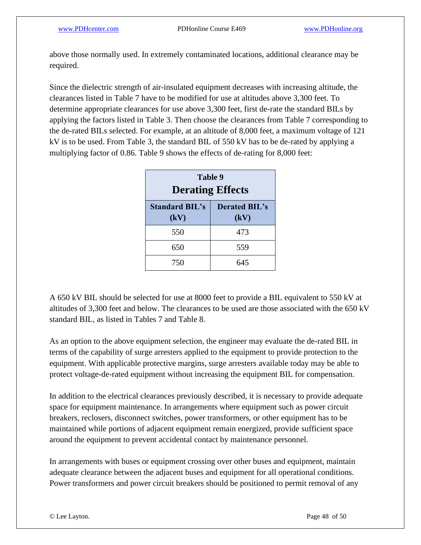above those normally used. In extremely contaminated locations, additional clearance may be required.

Since the dielectric strength of air-insulated equipment decreases with increasing altitude, the clearances listed in Table 7 have to be modified for use at altitudes above 3,300 feet. To determine appropriate clearances for use above 3,300 feet, first de-rate the standard BILs by applying the factors listed in Table 3. Then choose the clearances from Table 7 corresponding to the de-rated BILs selected. For example, at an altitude of 8,000 feet, a maximum voltage of 121 kV is to be used. From Table 3, the standard BIL of 550 kV has to be de-rated by applying a multiplying factor of 0.86. Table 9 shows the effects of de-rating for 8,000 feet:

| Table 9<br><b>Derating Effects</b> |                              |  |  |  |
|------------------------------------|------------------------------|--|--|--|
| <b>Standard BIL's</b><br>(kV)      | <b>Derated BIL's</b><br>(kV) |  |  |  |
| 550                                | 473                          |  |  |  |
| 650                                | 559                          |  |  |  |
| 750                                | 645                          |  |  |  |

A 650 kV BIL should be selected for use at 8000 feet to provide a BIL equivalent to 550 kV at altitudes of 3,300 feet and below. The clearances to be used are those associated with the 650 kV standard BIL, as listed in Tables 7 and Table 8.

As an option to the above equipment selection, the engineer may evaluate the de-rated BIL in terms of the capability of surge arresters applied to the equipment to provide protection to the equipment. With applicable protective margins, surge arresters available today may be able to protect voltage-de-rated equipment without increasing the equipment BIL for compensation.

In addition to the electrical clearances previously described, it is necessary to provide adequate space for equipment maintenance. In arrangements where equipment such as power circuit breakers, reclosers, disconnect switches, power transformers, or other equipment has to be maintained while portions of adjacent equipment remain energized, provide sufficient space around the equipment to prevent accidental contact by maintenance personnel.

In arrangements with buses or equipment crossing over other buses and equipment, maintain adequate clearance between the adjacent buses and equipment for all operational conditions. Power transformers and power circuit breakers should be positioned to permit removal of any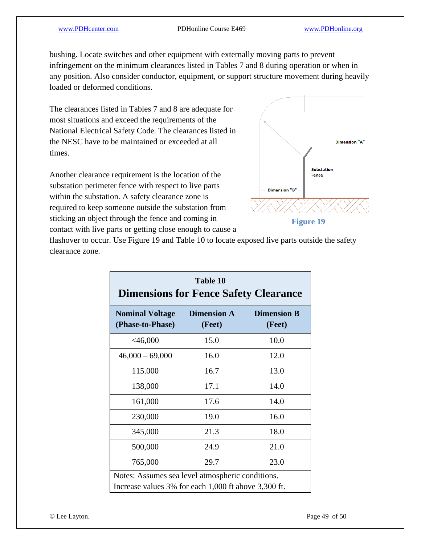bushing. Locate switches and other equipment with externally moving parts to prevent infringement on the minimum clearances listed in Tables 7 and 8 during operation or when in any position. Also consider conductor, equipment, or support structure movement during heavily loaded or deformed conditions.

The clearances listed in Tables 7 and 8 are adequate for most situations and exceed the requirements of the National Electrical Safety Code. The clearances listed in the NESC have to be maintained or exceeded at all times.

Another clearance requirement is the location of the substation perimeter fence with respect to live parts within the substation. A safety clearance zone is required to keep someone outside the substation from sticking an object through the fence and coming in contact with live parts or getting close enough to cause a



flashover to occur. Use Figure 19 and Table 10 to locate exposed live parts outside the safety clearance zone.

| <b>Table 10</b><br><b>Dimensions for Fence Safety Clearance</b>                                          |                              |                              |  |  |  |
|----------------------------------------------------------------------------------------------------------|------------------------------|------------------------------|--|--|--|
| <b>Nominal Voltage</b><br>(Phase-to-Phase)                                                               | <b>Dimension A</b><br>(Feet) | <b>Dimension B</b><br>(Feet) |  |  |  |
| $<$ 46,000                                                                                               | 15.0                         | 10.0                         |  |  |  |
| $46,000 - 69,000$                                                                                        | 16.0                         | 12.0                         |  |  |  |
| 115.000                                                                                                  | 16.7                         | 13.0                         |  |  |  |
| 138,000                                                                                                  | 17.1                         | 14.0                         |  |  |  |
| 161,000                                                                                                  | 17.6                         | 14.0                         |  |  |  |
| 230,000                                                                                                  | 19.0                         | 16.0                         |  |  |  |
| 345,000                                                                                                  | 21.3                         | 18.0                         |  |  |  |
| 500,000                                                                                                  | 24.9                         | 21.0                         |  |  |  |
| 765,000                                                                                                  | 29.7                         | 23.0                         |  |  |  |
| Notes: Assumes sea level atmospheric conditions.<br>Increase values 3% for each 1,000 ft above 3,300 ft. |                              |                              |  |  |  |